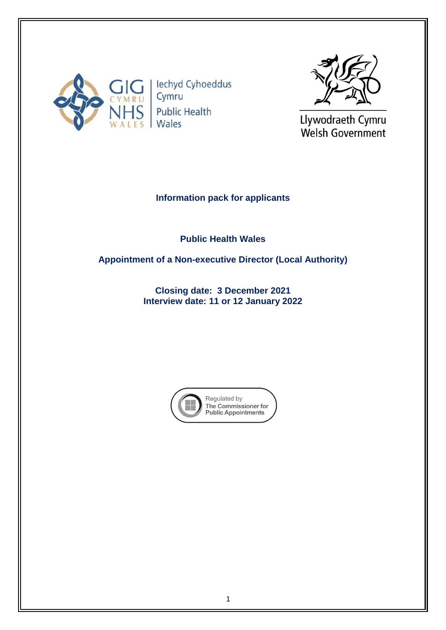

lechyd Cyhoeddus Cymru **Public Health** Wales



Llywodraeth Cymru Welsh Government

# **Information pack for applicants**

**Public Health Wales** 

**Appointment of a Non-executive Director (Local Authority)**

**Closing date: 3 December 2021 Interview date: 11 or 12 January 2022**

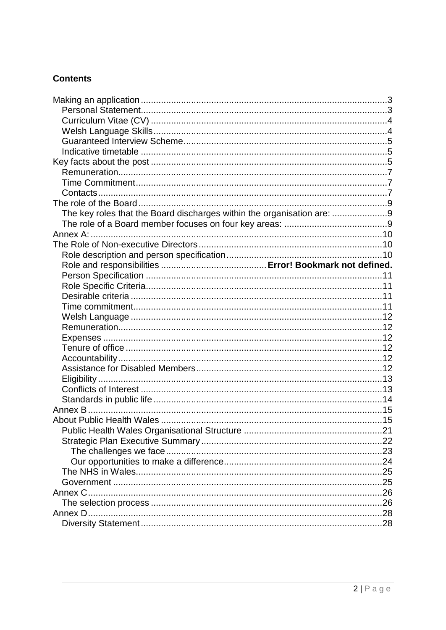# **Contents**

| The key roles that the Board discharges within the organisation are: 9 |  |
|------------------------------------------------------------------------|--|
|                                                                        |  |
|                                                                        |  |
|                                                                        |  |
|                                                                        |  |
|                                                                        |  |
|                                                                        |  |
|                                                                        |  |
|                                                                        |  |
|                                                                        |  |
|                                                                        |  |
|                                                                        |  |
|                                                                        |  |
|                                                                        |  |
|                                                                        |  |
|                                                                        |  |
|                                                                        |  |
|                                                                        |  |
|                                                                        |  |
|                                                                        |  |
|                                                                        |  |
|                                                                        |  |
|                                                                        |  |
|                                                                        |  |
|                                                                        |  |
|                                                                        |  |
|                                                                        |  |
|                                                                        |  |
|                                                                        |  |
|                                                                        |  |
|                                                                        |  |
|                                                                        |  |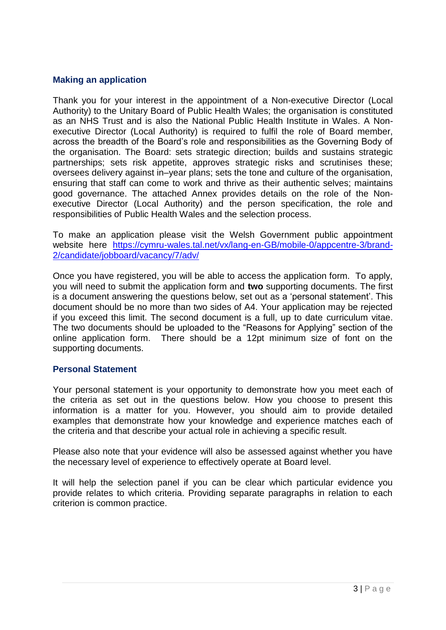## <span id="page-2-0"></span>**Making an application**

Thank you for your interest in the appointment of a Non-executive Director (Local Authority) to the Unitary Board of Public Health Wales; the organisation is constituted as an NHS Trust and is also the National Public Health Institute in Wales. A Nonexecutive Director (Local Authority) is required to fulfil the role of Board member, across the breadth of the Board's role and responsibilities as the Governing Body of the organisation. The Board: sets strategic direction; builds and sustains strategic partnerships; sets risk appetite, approves strategic risks and scrutinises these; oversees delivery against in–year plans; sets the tone and culture of the organisation, ensuring that staff can come to work and thrive as their authentic selves; maintains good governance. The attached Annex provides details on the role of the Nonexecutive Director (Local Authority) and the person specification, the role and responsibilities of Public Health Wales and the selection process.

To make an application please visit the Welsh Government public appointment website here [https://cymru-wales.tal.net/vx/lang-en-GB/mobile-0/appcentre-3/brand-](https://cymru-wales.tal.net/vx/lang-en-GB/mobile-0/appcentre-3/brand-2/candidate/jobboard/vacancy/7/adv/)[2/candidate/jobboard/vacancy/7/adv/](https://cymru-wales.tal.net/vx/lang-en-GB/mobile-0/appcentre-3/brand-2/candidate/jobboard/vacancy/7/adv/)

Once you have registered, you will be able to access the application form. To apply, you will need to submit the application form and **two** supporting documents. The first is a document answering the questions below, set out as a 'personal statement'. This document should be no more than two sides of A4. Your application may be rejected if you exceed this limit. The second document is a full, up to date curriculum vitae. The two documents should be uploaded to the "Reasons for Applying" section of the online application form. There should be a 12pt minimum size of font on the supporting documents.

#### <span id="page-2-1"></span>**Personal Statement**

Your personal statement is your opportunity to demonstrate how you meet each of the criteria as set out in the questions below. How you choose to present this information is a matter for you. However, you should aim to provide detailed examples that demonstrate how your knowledge and experience matches each of the criteria and that describe your actual role in achieving a specific result.

Please also note that your evidence will also be assessed against whether you have the necessary level of experience to effectively operate at Board level.

It will help the selection panel if you can be clear which particular evidence you provide relates to which criteria. Providing separate paragraphs in relation to each criterion is common practice.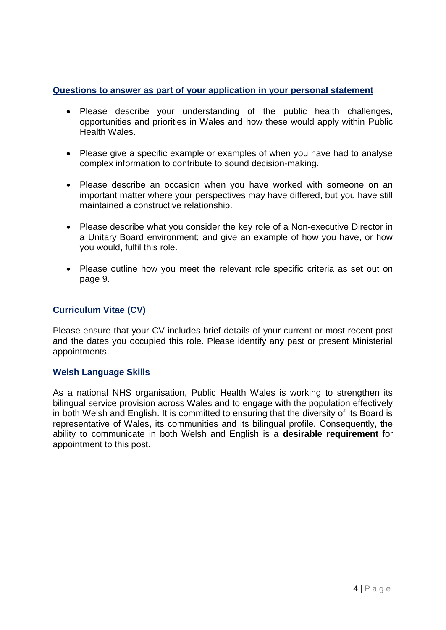# **Questions to answer as part of your application in your personal statement**

- Please describe your understanding of the public health challenges, opportunities and priorities in Wales and how these would apply within Public Health Wales.
- Please give a specific example or examples of when you have had to analyse complex information to contribute to sound decision-making.
- Please describe an occasion when you have worked with someone on an important matter where your perspectives may have differed, but you have still maintained a constructive relationship.
- Please describe what you consider the key role of a Non-executive Director in a Unitary Board environment; and give an example of how you have, or how you would, fulfil this role.
- Please outline how you meet the relevant role specific criteria as set out on page 9.

# <span id="page-3-0"></span>**Curriculum Vitae (CV)**

Please ensure that your CV includes brief details of your current or most recent post and the dates you occupied this role. Please identify any past or present Ministerial appointments.

## <span id="page-3-1"></span>**Welsh Language Skills**

As a national NHS organisation, Public Health Wales is working to strengthen its bilingual service provision across Wales and to engage with the population effectively in both Welsh and English. It is committed to ensuring that the diversity of its Board is representative of Wales, its communities and its bilingual profile. Consequently, the ability to communicate in both Welsh and English is a **desirable requirement** for appointment to this post.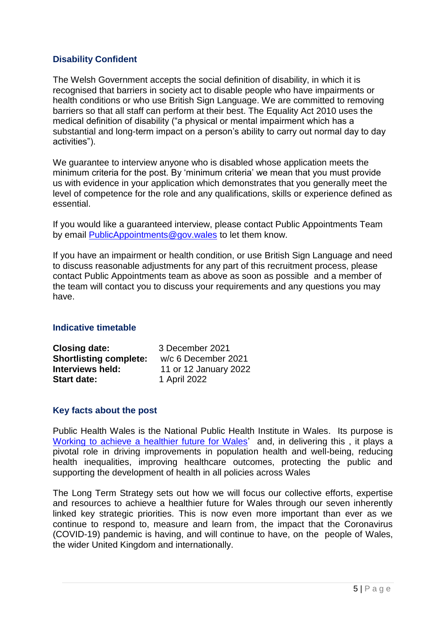# <span id="page-4-0"></span>**Disability Confident**

The Welsh Government accepts the social definition of disability, in which it is recognised that barriers in society act to disable people who have impairments or health conditions or who use British Sign Language. We are committed to removing barriers so that all staff can perform at their best. The Equality Act 2010 uses the medical definition of disability ("a physical or mental impairment which has a substantial and long-term impact on a person's ability to carry out normal day to day activities").

We guarantee to interview anyone who is disabled whose application meets the minimum criteria for the post. By 'minimum criteria' we mean that you must provide us with evidence in your application which demonstrates that you generally meet the level of competence for the role and any qualifications, skills or experience defined as essential.

If you would like a guaranteed interview, please contact Public Appointments Team by email [PublicAppointments@gov.wales](mailto:PublicAppointments@gov.wales) to let them know.

If you have an impairment or health condition, or use British Sign Language and need to discuss reasonable adjustments for any part of this recruitment process, please contact Public Appointments team as above as soon as possible and a member of the team will contact you to discuss your requirements and any questions you may have.

## <span id="page-4-1"></span>**Indicative timetable**

| <b>Closing date:</b>          | 3 December 2021       |  |
|-------------------------------|-----------------------|--|
| <b>Shortlisting complete:</b> | w/c 6 December 2021   |  |
| Interviews held:              | 11 or 12 January 2022 |  |
| <b>Start date:</b>            | 1 April 2022          |  |

## <span id="page-4-2"></span>**Key facts about the post**

Public Health Wales is the National Public Health Institute in Wales. Its purpose is [Working to achieve a healthier future for Wales'](https://phw.nhs.wales/about-us/our-priorities/) and, in delivering this, it plays a pivotal role in driving improvements in population health and well-being, reducing health inequalities, improving healthcare outcomes, protecting the public and supporting the development of health in all policies across Wales

The Long Term Strategy sets out how we will focus our collective efforts, expertise and resources to achieve a healthier future for Wales through our seven inherently linked key strategic priorities. This is now even more important than ever as we continue to respond to, measure and learn from, the impact that the Coronavirus (COVID-19) pandemic is having, and will continue to have, on the people of Wales, the wider United Kingdom and internationally.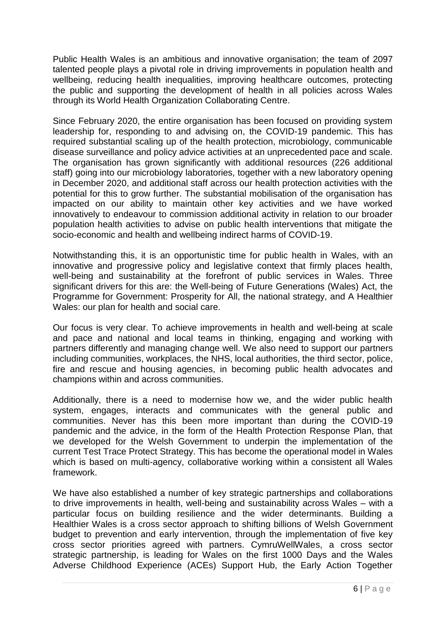Public Health Wales is an ambitious and innovative organisation; the team of 2097 talented people plays a pivotal role in driving improvements in population health and wellbeing, reducing health inequalities, improving healthcare outcomes, protecting the public and supporting the development of health in all policies across Wales through its World Health Organization Collaborating Centre.

Since February 2020, the entire organisation has been focused on providing system leadership for, responding to and advising on, the COVID-19 pandemic. This has required substantial scaling up of the health protection, microbiology, communicable disease surveillance and policy advice activities at an unprecedented pace and scale. The organisation has grown significantly with additional resources (226 additional staff) going into our microbiology laboratories, together with a new laboratory opening in December 2020, and additional staff across our health protection activities with the potential for this to grow further. The substantial mobilisation of the organisation has impacted on our ability to maintain other key activities and we have worked innovatively to endeavour to commission additional activity in relation to our broader population health activities to advise on public health interventions that mitigate the socio-economic and health and wellbeing indirect harms of COVID-19.

Notwithstanding this, it is an opportunistic time for public health in Wales, with an innovative and progressive policy and legislative context that firmly places health, well-being and sustainability at the forefront of public services in Wales. Three significant drivers for this are: the Well-being of Future Generations (Wales) Act, the Programme for Government: Prosperity for All, the national strategy, and A Healthier Wales: our plan for health and social care.

Our focus is very clear. To achieve improvements in health and well-being at scale and pace and national and local teams in thinking, engaging and working with partners differently and managing change well. We also need to support our partners including communities, workplaces, the NHS, local authorities, the third sector, police, fire and rescue and housing agencies, in becoming public health advocates and champions within and across communities.

Additionally, there is a need to modernise how we, and the wider public health system, engages, interacts and communicates with the general public and communities. Never has this been more important than during the COVID-19 pandemic and the advice, in the form of the Health Protection Response Plan, that we developed for the Welsh Government to underpin the implementation of the current Test Trace Protect Strategy. This has become the operational model in Wales which is based on multi-agency, collaborative working within a consistent all Wales framework.

We have also established a number of key strategic partnerships and collaborations to drive improvements in health, well-being and sustainability across Wales – with a particular focus on building resilience and the wider determinants. Building a Healthier Wales is a cross sector approach to shifting billions of Welsh Government budget to prevention and early intervention, through the implementation of five key cross sector priorities agreed with partners. CymruWellWales, a cross sector strategic partnership, is leading for Wales on the first 1000 Days and the Wales Adverse Childhood Experience (ACEs) Support Hub, the Early Action Together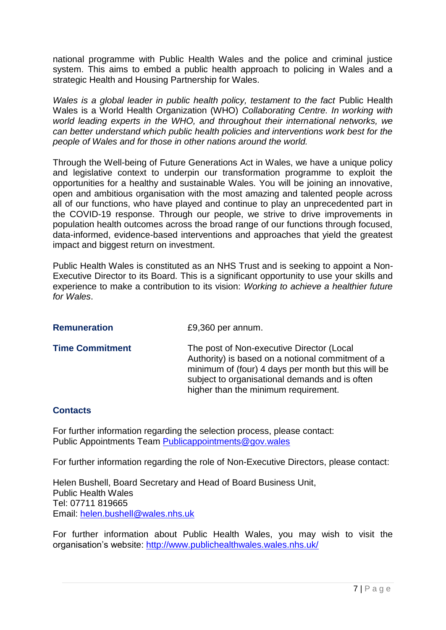national programme with Public Health Wales and the police and criminal justice system. This aims to embed a public health approach to policing in Wales and a strategic Health and Housing Partnership for Wales.

*Wales is a global leader in public health policy, testament to the fact Public Health* Wales is a World Health Organization (WHO) *Collaborating Centre. In working with world leading experts in the WHO, and throughout their international networks, we can better understand which public health policies and interventions work best for the people of Wales and for those in other nations around the world.*

Through the Well-being of Future Generations Act in Wales, we have a unique policy and legislative context to underpin our transformation programme to exploit the opportunities for a healthy and sustainable Wales. You will be joining an innovative, open and ambitious organisation with the most amazing and talented people across all of our functions, who have played and continue to play an unprecedented part in the COVID-19 response. Through our people, we strive to drive improvements in population health outcomes across the broad range of our functions through focused, data-informed, evidence-based interventions and approaches that yield the greatest impact and biggest return on investment.

Public Health Wales is constituted as an NHS Trust and is seeking to appoint a Non-Executive Director to its Board. This is a significant opportunity to use your skills and experience to make a contribution to its vision: *Working to achieve a healthier future for Wales*.

<span id="page-6-1"></span><span id="page-6-0"></span>

| <b>Remuneration</b>    | £9,360 per annum.                                                                                                                                                                                                                               |
|------------------------|-------------------------------------------------------------------------------------------------------------------------------------------------------------------------------------------------------------------------------------------------|
| <b>Time Commitment</b> | The post of Non-executive Director (Local<br>Authority) is based on a notional commitment of a<br>minimum of (four) 4 days per month but this will be<br>subject to organisational demands and is often<br>higher than the minimum requirement. |

## <span id="page-6-2"></span>**Contacts**

For further information regarding the selection process, please contact: Public Appointments Team [Publicappointments@gov.wales](mailto:Publicappointments@gov.wales)

For further information regarding the role of Non-Executive Directors, please contact:

Helen Bushell, Board Secretary and Head of Board Business Unit, Public Health Wales Tel: 07711 819665 Email: [helen.bushell@wales.nhs.uk](mailto:helen.bushell@wales.nhs.uk)

For further information about Public Health Wales, you may wish to visit the organisation's website:<http://www.publichealthwales.wales.nhs.uk/>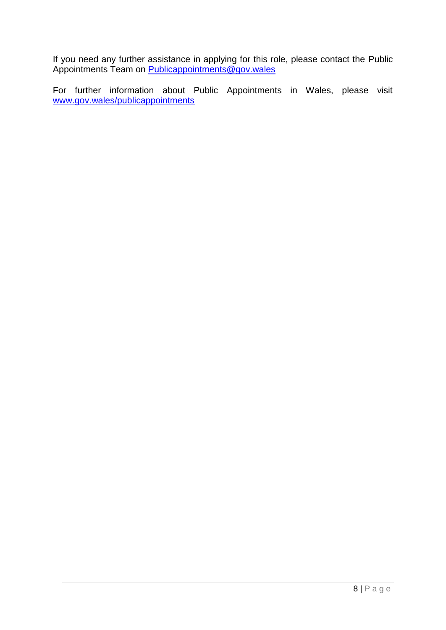If you need any further assistance in applying for this role, please contact the Public Appointments Team on **Publicappointments@gov.wales** 

For further information about Public Appointments in Wales, please visit [www.gov.wales/publicappointments](http://www.gov.wales/publicappointments)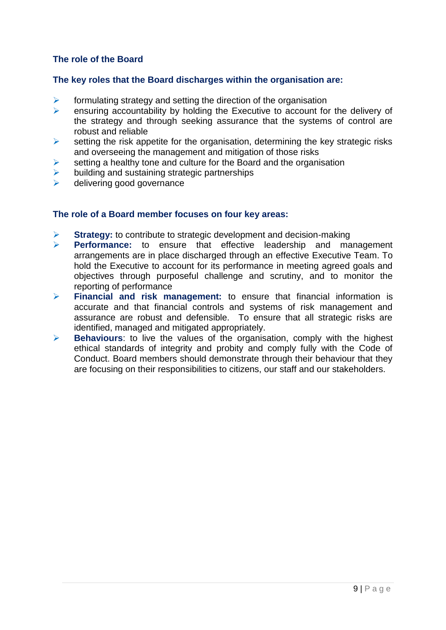# <span id="page-8-0"></span>**The role of the Board**

#### <span id="page-8-1"></span>**The key roles that the Board discharges within the organisation are:**

- $\triangleright$  formulating strategy and setting the direction of the organisation
- $\triangleright$  ensuring accountability by holding the Executive to account for the delivery of the strategy and through seeking assurance that the systems of control are robust and reliable
- $\triangleright$  setting the risk appetite for the organisation, determining the key strategic risks and overseeing the management and mitigation of those risks
- $\triangleright$  setting a healthy tone and culture for the Board and the organisation
- $\triangleright$  building and sustaining strategic partnerships
- delivering good governance

#### <span id="page-8-2"></span>**The role of a Board member focuses on four key areas:**

- **Strategy:** to contribute to strategic development and decision-making
- **Performance:** to ensure that effective leadership and management arrangements are in place discharged through an effective Executive Team. To hold the Executive to account for its performance in meeting agreed goals and objectives through purposeful challenge and scrutiny, and to monitor the reporting of performance
- **Financial and risk management:** to ensure that financial information is accurate and that financial controls and systems of risk management and assurance are robust and defensible. To ensure that all strategic risks are identified, managed and mitigated appropriately.
- **Behaviours**: to live the values of the organisation, comply with the highest ethical standards of integrity and probity and comply fully with the Code of Conduct. Board members should demonstrate through their behaviour that they are focusing on their responsibilities to citizens, our staff and our stakeholders.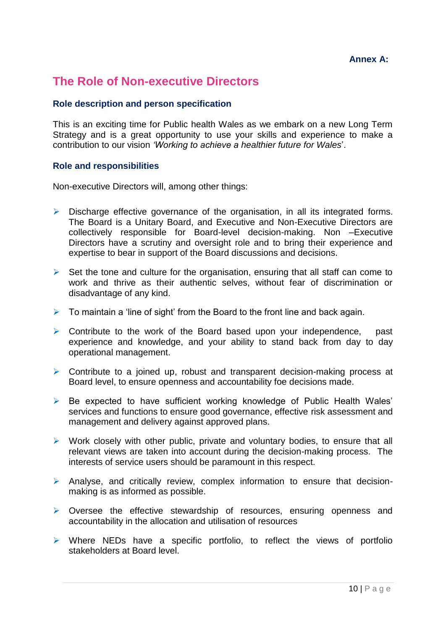## **Annex A:**

# <span id="page-9-1"></span><span id="page-9-0"></span>**The Role of Non-executive Directors**

### <span id="page-9-2"></span>**Role description and person specification**

This is an exciting time for Public health Wales as we embark on a new Long Term Strategy and is a great opportunity to use your skills and experience to make a contribution to our vision *'Working to achieve a healthier future for Wales*'.

#### **Role and responsibilities**

Non-executive Directors will, among other things:

- $\triangleright$  Discharge effective governance of the organisation, in all its integrated forms. The Board is a Unitary Board, and Executive and Non-Executive Directors are collectively responsible for Board-level decision-making. Non –Executive Directors have a scrutiny and oversight role and to bring their experience and expertise to bear in support of the Board discussions and decisions.
- $\triangleright$  Set the tone and culture for the organisation, ensuring that all staff can come to work and thrive as their authentic selves, without fear of discrimination or disadvantage of any kind.
- $\triangleright$  To maintain a 'line of sight' from the Board to the front line and back again.
- $\triangleright$  Contribute to the work of the Board based upon your independence, past experience and knowledge, and your ability to stand back from day to day operational management.
- $\triangleright$  Contribute to a joined up, robust and transparent decision-making process at Board level, to ensure openness and accountability foe decisions made.
- $\triangleright$  Be expected to have sufficient working knowledge of Public Health Wales' services and functions to ensure good governance, effective risk assessment and management and delivery against approved plans.
- $\triangleright$  Work closely with other public, private and voluntary bodies, to ensure that all relevant views are taken into account during the decision-making process. The interests of service users should be paramount in this respect.
- Analyse, and critically review, complex information to ensure that decisionmaking is as informed as possible.
- $\triangleright$  Oversee the effective stewardship of resources, ensuring openness and accountability in the allocation and utilisation of resources
- $\triangleright$  Where NEDs have a specific portfolio, to reflect the views of portfolio stakeholders at Board level.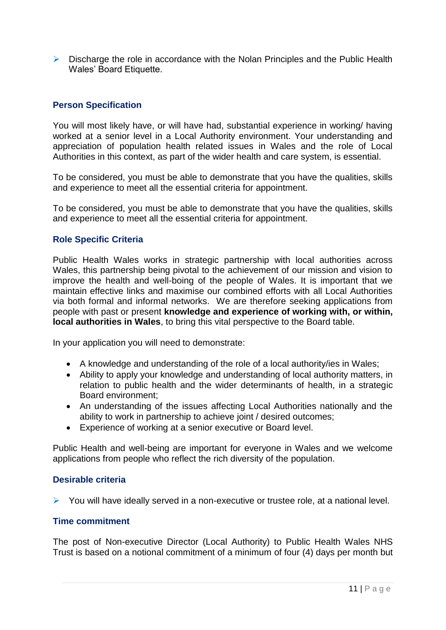$\triangleright$  Discharge the role in accordance with the Nolan Principles and the Public Health Wales' Board Etiquette.

# <span id="page-10-0"></span>**Person Specification**

You will most likely have, or will have had, substantial experience in working/ having worked at a senior level in a Local Authority environment. Your understanding and appreciation of population health related issues in Wales and the role of Local Authorities in this context, as part of the wider health and care system, is essential.

To be considered, you must be able to demonstrate that you have the qualities, skills and experience to meet all the essential criteria for appointment.

To be considered, you must be able to demonstrate that you have the qualities, skills and experience to meet all the essential criteria for appointment.

## <span id="page-10-1"></span>**Role Specific Criteria**

Public Health Wales works in strategic partnership with local authorities across Wales, this partnership being pivotal to the achievement of our mission and vision to improve the health and well-boing of the people of Wales. It is important that we maintain effective links and maximise our combined efforts with all Local Authorities via both formal and informal networks. We are therefore seeking applications from people with past or present **knowledge and experience of working with, or within, local authorities in Wales**, to bring this vital perspective to the Board table.

In your application you will need to demonstrate:

- A knowledge and understanding of the role of a local authority/ies in Wales;
- Ability to apply your knowledge and understanding of local authority matters, in relation to public health and the wider determinants of health, in a strategic Board environment;
- An understanding of the issues affecting Local Authorities nationally and the ability to work in partnership to achieve joint / desired outcomes;
- Experience of working at a senior executive or Board level.

Public Health and well-being are important for everyone in Wales and we welcome applications from people who reflect the rich diversity of the population.

#### <span id="page-10-2"></span>**Desirable criteria**

 $\triangleright$  You will have ideally served in a non-executive or trustee role, at a national level.

## <span id="page-10-3"></span>**Time commitment**

The post of Non-executive Director (Local Authority) to Public Health Wales NHS Trust is based on a notional commitment of a minimum of four (4) days per month but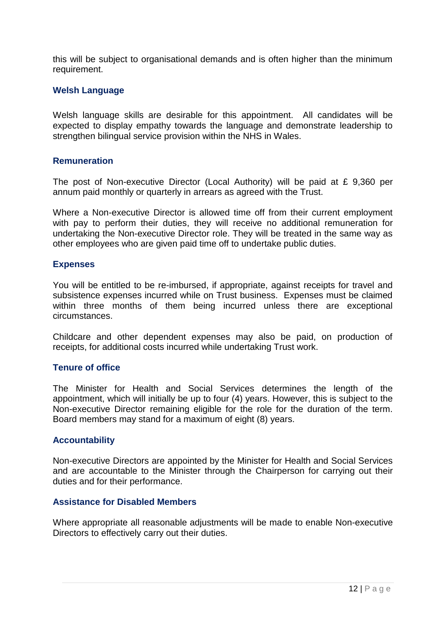this will be subject to organisational demands and is often higher than the minimum requirement.

### <span id="page-11-0"></span>**Welsh Language**

Welsh language skills are desirable for this appointment. All candidates will be expected to display empathy towards the language and demonstrate leadership to strengthen bilingual service provision within the NHS in Wales.

#### <span id="page-11-1"></span>**Remuneration**

The post of Non-executive Director (Local Authority) will be paid at £ 9,360 per annum paid monthly or quarterly in arrears as agreed with the Trust.

Where a Non-executive Director is allowed time off from their current employment with pay to perform their duties, they will receive no additional remuneration for undertaking the Non-executive Director role. They will be treated in the same way as other employees who are given paid time off to undertake public duties.

#### <span id="page-11-2"></span>**Expenses**

You will be entitled to be re-imbursed, if appropriate, against receipts for travel and subsistence expenses incurred while on Trust business. Expenses must be claimed within three months of them being incurred unless there are exceptional circumstances.

Childcare and other dependent expenses may also be paid, on production of receipts, for additional costs incurred while undertaking Trust work.

#### <span id="page-11-3"></span>**Tenure of office**

The Minister for Health and Social Services determines the length of the appointment, which will initially be up to four (4) years. However, this is subject to the Non-executive Director remaining eligible for the role for the duration of the term. Board members may stand for a maximum of eight (8) years.

#### <span id="page-11-4"></span>**Accountability**

Non-executive Directors are appointed by the Minister for Health and Social Services and are accountable to the Minister through the Chairperson for carrying out their duties and for their performance.

#### <span id="page-11-5"></span>**Assistance for Disabled Members**

Where appropriate all reasonable adjustments will be made to enable Non-executive Directors to effectively carry out their duties.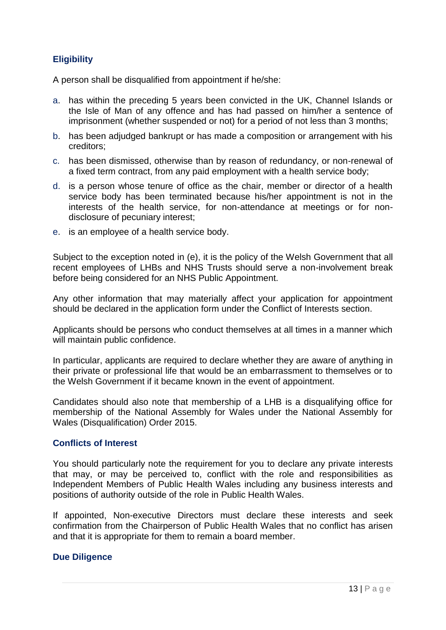# <span id="page-12-0"></span>**Eligibility**

A person shall be disqualified from appointment if he/she:

- a. has within the preceding 5 years been convicted in the UK, Channel Islands or the Isle of Man of any offence and has had passed on him/her a sentence of imprisonment (whether suspended or not) for a period of not less than 3 months;
- b. has been adjudged bankrupt or has made a composition or arrangement with his creditors;
- c. has been dismissed, otherwise than by reason of redundancy, or non-renewal of a fixed term contract, from any paid employment with a health service body;
- d. is a person whose tenure of office as the chair, member or director of a health service body has been terminated because his/her appointment is not in the interests of the health service, for non-attendance at meetings or for nondisclosure of pecuniary interest;
- e. is an employee of a health service body.

Subject to the exception noted in (e), it is the policy of the Welsh Government that all recent employees of LHBs and NHS Trusts should serve a non-involvement break before being considered for an NHS Public Appointment.

Any other information that may materially affect your application for appointment should be declared in the application form under the Conflict of Interests section.

Applicants should be persons who conduct themselves at all times in a manner which will maintain public confidence.

In particular, applicants are required to declare whether they are aware of anything in their private or professional life that would be an embarrassment to themselves or to the Welsh Government if it became known in the event of appointment.

Candidates should also note that membership of a LHB is a disqualifying office for membership of the National Assembly for Wales under the National Assembly for Wales (Disqualification) Order 2015.

## <span id="page-12-1"></span>**Conflicts of Interest**

You should particularly note the requirement for you to declare any private interests that may, or may be perceived to, conflict with the role and responsibilities as Independent Members of Public Health Wales including any business interests and positions of authority outside of the role in Public Health Wales.

If appointed, Non-executive Directors must declare these interests and seek confirmation from the Chairperson of Public Health Wales that no conflict has arisen and that it is appropriate for them to remain a board member.

## **Due Diligence**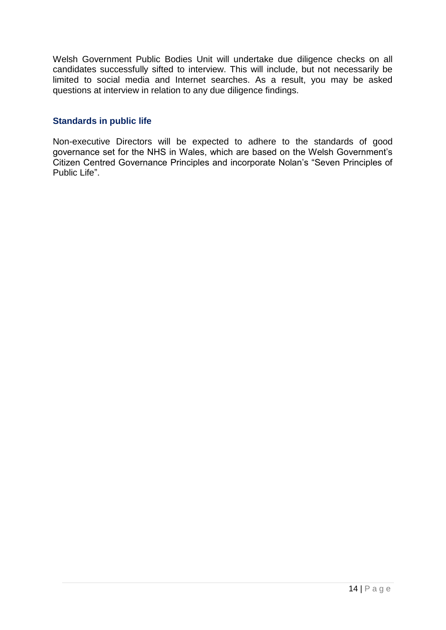Welsh Government Public Bodies Unit will undertake due diligence checks on all candidates successfully sifted to interview. This will include, but not necessarily be limited to social media and Internet searches. As a result, you may be asked questions at interview in relation to any due diligence findings.

### <span id="page-13-0"></span>**Standards in public life**

Non-executive Directors will be expected to adhere to the standards of good governance set for the NHS in Wales, which are based on the Welsh Government's Citizen Centred Governance Principles and incorporate Nolan's "Seven Principles of Public Life".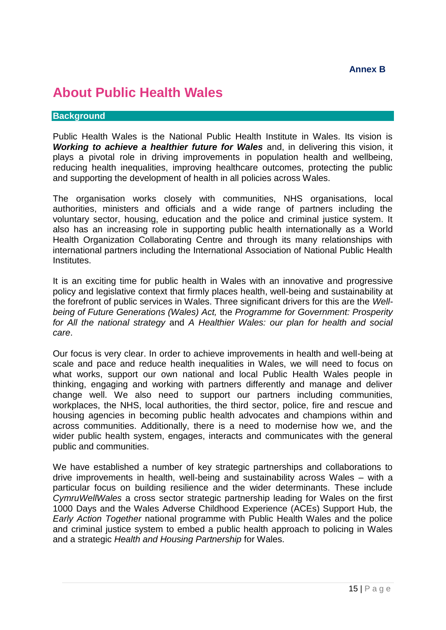# <span id="page-14-1"></span><span id="page-14-0"></span>**About Public Health Wales**

#### **Background**

Public Health Wales is the National Public Health Institute in Wales. Its vision is *Working to achieve a healthier future for Wales* and, in delivering this vision, it plays a pivotal role in driving improvements in population health and wellbeing, reducing health inequalities, improving healthcare outcomes, protecting the public and supporting the development of health in all policies across Wales.

The organisation works closely with communities, NHS organisations, local authorities, ministers and officials and a wide range of partners including the voluntary sector, housing, education and the police and criminal justice system. It also has an increasing role in supporting public health internationally as a World Health Organization Collaborating Centre and through its many relationships with international partners including the International Association of National Public Health Institutes.

It is an exciting time for public health in Wales with an innovative and progressive policy and legislative context that firmly places health, well-being and sustainability at the forefront of public services in Wales. Three significant drivers for this are the *Wellbeing of Future Generations (Wales) Act,* the *Programme for Government: Prosperity for All the national strategy* and *A Healthier Wales: our plan for health and social care*.

Our focus is very clear. In order to achieve improvements in health and well-being at scale and pace and reduce health inequalities in Wales, we will need to focus on what works, support our own national and local Public Health Wales people in thinking, engaging and working with partners differently and manage and deliver change well. We also need to support our partners including communities, workplaces, the NHS, local authorities, the third sector, police, fire and rescue and housing agencies in becoming public health advocates and champions within and across communities. Additionally, there is a need to modernise how we, and the wider public health system, engages, interacts and communicates with the general public and communities.

We have established a number of key strategic partnerships and collaborations to drive improvements in health, well-being and sustainability across Wales – with a particular focus on building resilience and the wider determinants. These include *CymruWellWales* a cross sector strategic partnership leading for Wales on the first 1000 Days and the Wales Adverse Childhood Experience (ACEs) Support Hub, the *Early Action Together* national programme with Public Health Wales and the police and criminal justice system to embed a public health approach to policing in Wales and a strategic *Health and Housing Partnership* for Wales.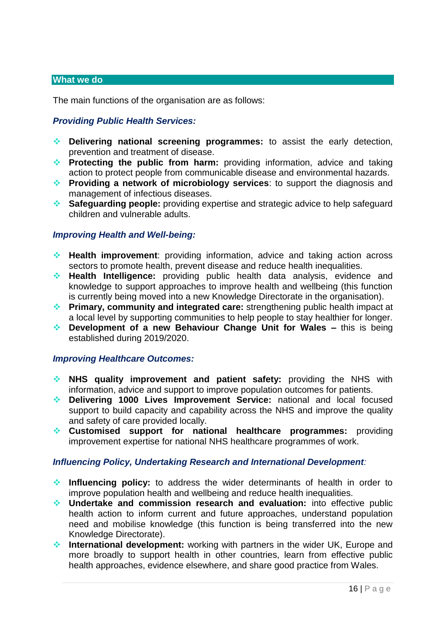#### **What we do**

The main functions of the organisation are as follows:

## *Providing Public Health Services:*

- **Delivering national screening programmes:** to assist the early detection, prevention and treatment of disease.
- **Protecting the public from harm:** providing information, advice and taking action to protect people from communicable disease and environmental hazards.
- **Providing a network of microbiology services**: to support the diagnosis and management of infectious diseases.
- **Safeguarding people:** providing expertise and strategic advice to help safeguard children and vulnerable adults.

#### *Improving Health and Well-being:*

- **Health improvement**: providing information, advice and taking action across sectors to promote health, prevent disease and reduce health inequalities.
- **Health Intelligence:** providing public health data analysis, evidence and knowledge to support approaches to improve health and wellbeing (this function is currently being moved into a new Knowledge Directorate in the organisation).
- **Primary, community and integrated care:** strengthening public health impact at a local level by supporting communities to help people to stay healthier for longer.
- ◆ **Development of a new Behaviour Change Unit for Wales –** this is being established during 2019/2020.

#### *Improving Healthcare Outcomes:*

- **NHS quality improvement and patient safety:** providing the NHS with information, advice and support to improve population outcomes for patients.
- **Delivering 1000 Lives Improvement Service:** national and local focused support to build capacity and capability across the NHS and improve the quality and safety of care provided locally.
- **Customised support for national healthcare programmes:** providing improvement expertise for national NHS healthcare programmes of work.

#### *Influencing Policy, Undertaking Research and International Development:*

- **Influencing policy:** to address the wider determinants of health in order to improve population health and wellbeing and reduce health inequalities.
- **Undertake and commission research and evaluation:** into effective public health action to inform current and future approaches, understand population need and mobilise knowledge (this function is being transferred into the new Knowledge Directorate).
- **International development:** working with partners in the wider UK, Europe and more broadly to support health in other countries, learn from effective public health approaches, evidence elsewhere, and share good practice from Wales.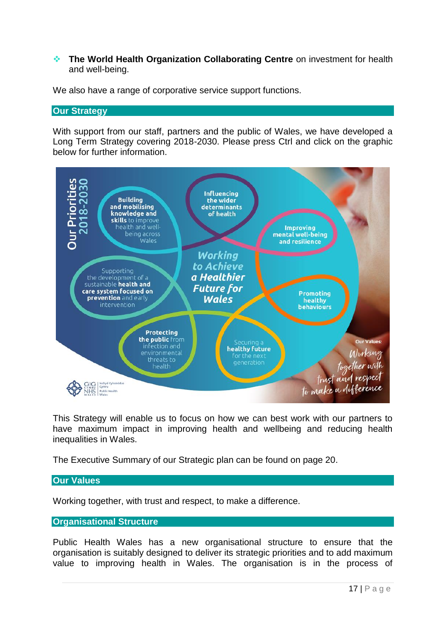#### **The World Health Organization Collaborating Centre** on investment for health and well-being.

We also have a range of corporative service support functions.

#### **Our Strategy**

With support from our staff, partners and the public of Wales, we have developed a Long Term Strategy covering 2018-2030. Please press Ctrl and click on the graphic below for further information.



This Strategy will enable us to focus on how we can best work with our partners to have maximum impact in improving health and wellbeing and reducing health inequalities in Wales.

The Executive Summary of our Strategic plan can be found on page 20.

## **Our Values**

Working together, with trust and respect, to make a difference.

## **Organisational Structure**

Public Health Wales has a new organisational structure to ensure that the organisation is suitably designed to deliver its strategic priorities and to add maximum value to improving health in Wales. The organisation is in the process of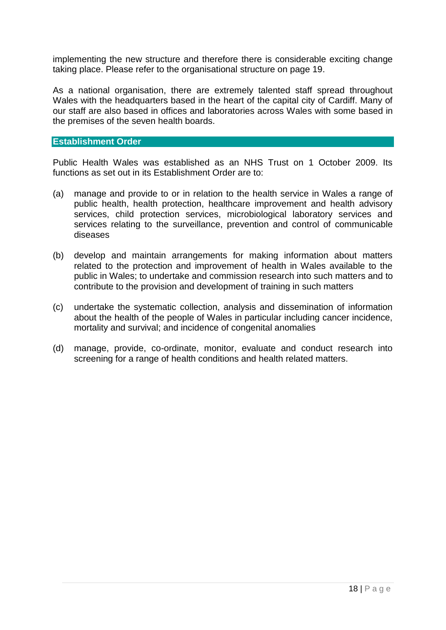implementing the new structure and therefore there is considerable exciting change taking place. Please refer to the organisational structure on page 19.

As a national organisation, there are extremely talented staff spread throughout Wales with the headquarters based in the heart of the capital city of Cardiff. Many of our staff are also based in offices and laboratories across Wales with some based in the premises of the seven health boards.

#### **Establishment Order**

Public Health Wales was established as an NHS Trust on 1 October 2009. Its functions as set out in its Establishment Order are to:

- (a) manage and provide to or in relation to the health service in Wales a range of public health, health protection, healthcare improvement and health advisory services, child protection services, microbiological laboratory services and services relating to the surveillance, prevention and control of communicable diseases
- (b) develop and maintain arrangements for making information about matters related to the protection and improvement of health in Wales available to the public in Wales; to undertake and commission research into such matters and to contribute to the provision and development of training in such matters
- (c) undertake the systematic collection, analysis and dissemination of information about the health of the people of Wales in particular including cancer incidence, mortality and survival; and incidence of congenital anomalies
- (d) manage, provide, co-ordinate, monitor, evaluate and conduct research into screening for a range of health conditions and health related matters.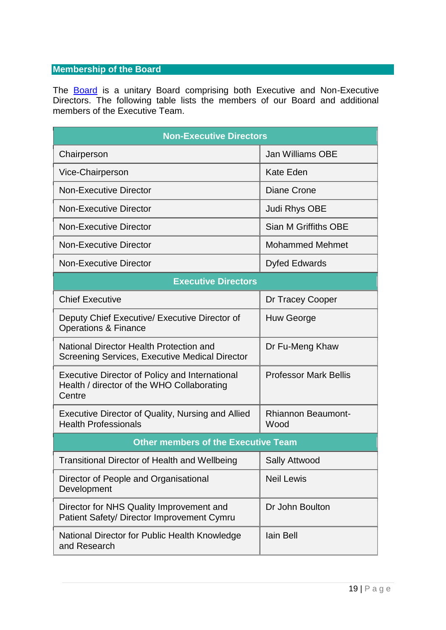# **Membership of the Board**

The **[Board](https://phw.nhs.wales/about-us/board-and-executive-team/board-papers/board-meetings/2021-2022/27-may-2021/board-papers-27-may-2021/4-2a-board-270521-integrated-performance-report-cover/)** is a unitary Board comprising both Executive and Non-Executive Directors. The following table lists the members of our Board and additional members of the Executive Team.

| <b>Non-Executive Directors</b>                                                                                |                                   |  |  |  |
|---------------------------------------------------------------------------------------------------------------|-----------------------------------|--|--|--|
| Chairperson                                                                                                   | <b>Jan Williams OBE</b>           |  |  |  |
| Vice-Chairperson                                                                                              | <b>Kate Eden</b>                  |  |  |  |
| <b>Non-Executive Director</b>                                                                                 | <b>Diane Crone</b>                |  |  |  |
| <b>Non-Executive Director</b>                                                                                 | Judi Rhys OBE                     |  |  |  |
| <b>Non-Executive Director</b>                                                                                 | Sian M Griffiths OBE              |  |  |  |
| <b>Non-Executive Director</b>                                                                                 | <b>Mohammed Mehmet</b>            |  |  |  |
| <b>Non-Executive Director</b>                                                                                 | <b>Dyfed Edwards</b>              |  |  |  |
| <b>Executive Directors</b>                                                                                    |                                   |  |  |  |
| <b>Chief Executive</b>                                                                                        | Dr Tracey Cooper                  |  |  |  |
| Deputy Chief Executive/ Executive Director of<br><b>Operations &amp; Finance</b>                              | <b>Huw George</b>                 |  |  |  |
| National Director Health Protection and<br>Screening Services, Executive Medical Director                     | Dr Fu-Meng Khaw                   |  |  |  |
| <b>Executive Director of Policy and International</b><br>Health / director of the WHO Collaborating<br>Centre | <b>Professor Mark Bellis</b>      |  |  |  |
| Executive Director of Quality, Nursing and Allied<br><b>Health Professionals</b>                              | <b>Rhiannon Beaumont-</b><br>Wood |  |  |  |
| <b>Other members of the Executive Team</b>                                                                    |                                   |  |  |  |
| Transitional Director of Health and Wellbeing                                                                 | <b>Sally Attwood</b>              |  |  |  |
| Director of People and Organisational<br>Development                                                          | <b>Neil Lewis</b>                 |  |  |  |
| Director for NHS Quality Improvement and<br>Patient Safety/ Director Improvement Cymru                        | Dr John Boulton                   |  |  |  |
| National Director for Public Health Knowledge<br>and Research                                                 | lain Bell                         |  |  |  |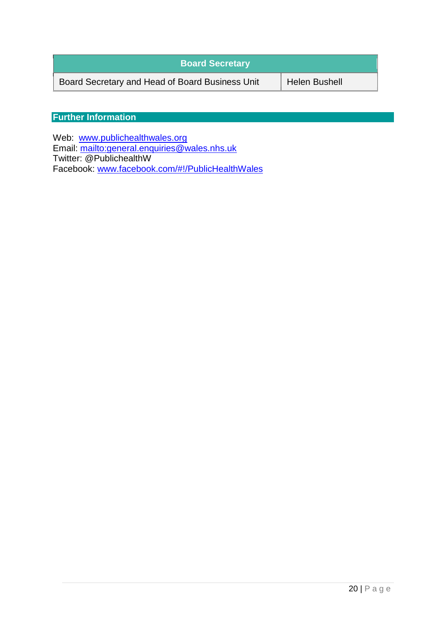| <b>Board Secretary</b>                          |                      |
|-------------------------------------------------|----------------------|
| Board Secretary and Head of Board Business Unit | <b>Helen Bushell</b> |

# **Further Information**

Web: [www.publichealthwales.org](http://www.publichealthwales.org/) Email:<mailto:general.enquiries@wales.nhs.uk> Twitter: @PublichealthW Facebook: [www.facebook.com/#!/PublicHealthWales](http://www.facebook.com/#!/PublicHealthWales)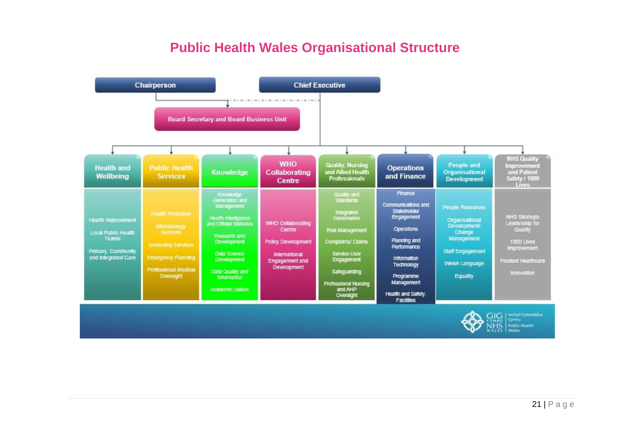# **Public Health Wales Organisational Structure**

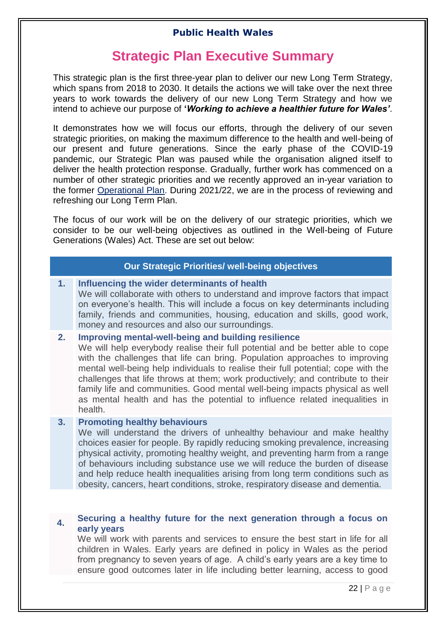# **Strategic Plan Executive Summary**

<span id="page-21-0"></span>This strategic plan is the first three-year plan to deliver our new Long Term Strategy, which spans from 2018 to 2030. It details the actions we will take over the next three years to work towards the delivery of our new Long Term Strategy and how we intend to achieve our purpose of **'***Working to achieve a healthier future for Wales'*.

It demonstrates how we will focus our efforts, through the delivery of our seven strategic priorities, on making the maximum difference to the health and well-being of our present and future generations. Since the early phase of the COVID-19 pandemic, our Strategic Plan was paused while the organisation aligned itself to deliver the health protection response. Gradually, further work has commenced on a number of other strategic priorities and we recently approved an in-year variation to the former [Operational Plan.](https://phw.nhs.wales/topics/latest-information-on-novel-coronavirus-covid-19/staff-information-page1/public-health-wales-operational-plan/) During 2021/22, we are in the process of reviewing and refreshing our Long Term Plan.

The focus of our work will be on the delivery of our strategic priorities, which we consider to be our well-being objectives as outlined in the Well-being of Future Generations (Wales) Act. These are set out below:

## **Our Strategic Priorities/ well-being objectives**

#### **1. Influencing the wider determinants of health**

We will collaborate with others to understand and improve factors that impact on everyone's health. This will include a focus on key determinants including family, friends and communities, housing, education and skills, good work, money and resources and also our surroundings.

#### **2. Improving mental-well-being and building resilience**

We will help everybody realise their full potential and be better able to cope with the challenges that life can bring. Population approaches to improving mental well-being help individuals to realise their full potential; cope with the challenges that life throws at them; work productively; and contribute to their family life and communities. Good mental well-being impacts physical as well as mental health and has the potential to influence related inequalities in health.

### **3. Promoting healthy behaviours**

We will understand the drivers of unhealthy behaviour and make healthy choices easier for people. By rapidly reducing smoking prevalence, increasing physical activity, promoting healthy weight, and preventing harm from a range of behaviours including substance use we will reduce the burden of disease and help reduce health inequalities arising from long term conditions such as obesity, cancers, heart conditions, stroke, respiratory disease and dementia.

#### **4. Securing a healthy future for the next generation through a focus on early years**

We will work with parents and services to ensure the best start in life for all children in Wales. Early years are defined in policy in Wales as the period from pregnancy to seven years of age. A child's early years are a key time to ensure good outcomes later in life including better learning, access to good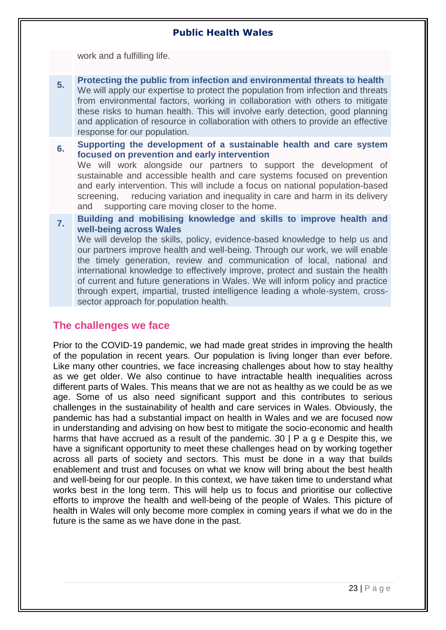work and a fulfilling life.

- **5. Protecting the public from infection and environmental threats to health** We will apply our expertise to protect the population from infection and threats from environmental factors, working in collaboration with others to mitigate these risks to human health. This will involve early detection, good planning and application of resource in collaboration with others to provide an effective response for our population.
- **6. Supporting the development of a sustainable health and care system focused on prevention and early intervention**

We will work alongside our partners to support the development of sustainable and accessible health and care systems focused on prevention and early intervention. This will include a focus on national population-based screening, reducing variation and inequality in care and harm in its delivery and supporting care moving closer to the home.

**7. Building and mobilising knowledge and skills to improve health and well-being across Wales**

We will develop the skills, policy, evidence-based knowledge to help us and our partners improve health and well-being. Through our work, we will enable the timely generation, review and communication of local, national and international knowledge to effectively improve, protect and sustain the health of current and future generations in Wales. We will inform policy and practice through expert, impartial, trusted intelligence leading a whole-system, crosssector approach for population health.

# <span id="page-22-0"></span>**The challenges we face**

Prior to the COVID-19 pandemic, we had made great strides in improving the health of the population in recent years. Our population is living longer than ever before. Like many other countries, we face increasing challenges about how to stay healthy as we get older. We also continue to have intractable health inequalities across different parts of Wales. This means that we are not as healthy as we could be as we age. Some of us also need significant support and this contributes to serious challenges in the sustainability of health and care services in Wales. Obviously, the pandemic has had a substantial impact on health in Wales and we are focused now in understanding and advising on how best to mitigate the socio-economic and health harms that have accrued as a result of the pandemic. 30 | P a g e Despite this, we have a significant opportunity to meet these challenges head on by working together across all parts of society and sectors. This must be done in a way that builds enablement and trust and focuses on what we know will bring about the best health and well-being for our people. In this context, we have taken time to understand what works best in the long term. This will help us to focus and prioritise our collective efforts to improve the health and well-being of the people of Wales. This picture of health in Wales will only become more complex in coming years if what we do in the future is the same as we have done in the past.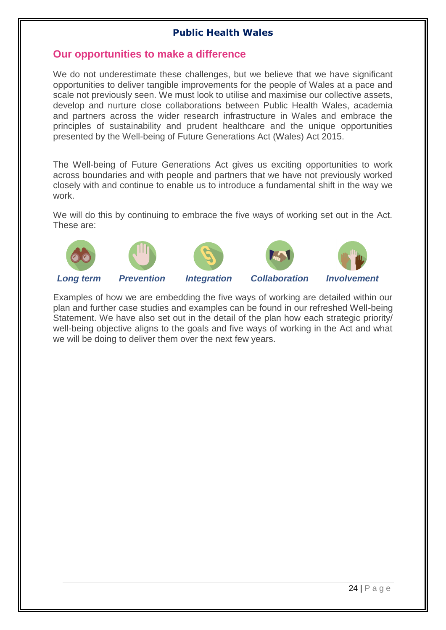# <span id="page-23-0"></span>**Our opportunities to make a difference**

We do not underestimate these challenges, but we believe that we have significant opportunities to deliver tangible improvements for the people of Wales at a pace and scale not previously seen. We must look to utilise and maximise our collective assets, develop and nurture close collaborations between Public Health Wales, academia and partners across the wider research infrastructure in Wales and embrace the principles of sustainability and prudent healthcare and the unique opportunities presented by the Well-being of Future Generations Act (Wales) Act 2015.

The Well-being of Future Generations Act gives us exciting opportunities to work across boundaries and with people and partners that we have not previously worked closely with and continue to enable us to introduce a fundamental shift in the way we work.

We will do this by continuing to embrace the five ways of working set out in the Act. These are:









*Long term Prevention Integration Collaboration Involvement*

Examples of how we are embedding the five ways of working are detailed within our plan and further case studies and examples can be found in our refreshed Well-being Statement. We have also set out in the detail of the plan how each strategic priority/ well-being objective aligns to the goals and five ways of working in the Act and what we will be doing to deliver them over the next few years.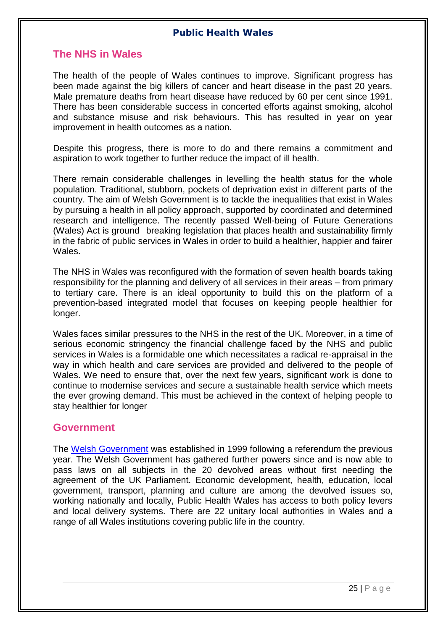# <span id="page-24-0"></span>**The NHS in Wales**

The health of the people of Wales continues to improve. Significant progress has been made against the big killers of cancer and heart disease in the past 20 years. Male premature deaths from heart disease have reduced by 60 per cent since 1991. There has been considerable success in concerted efforts against smoking, alcohol and substance misuse and risk behaviours. This has resulted in year on year improvement in health outcomes as a nation.

Despite this progress, there is more to do and there remains a commitment and aspiration to work together to further reduce the impact of ill health.

There remain considerable challenges in levelling the health status for the whole population. Traditional, stubborn, pockets of deprivation exist in different parts of the country. The aim of Welsh Government is to tackle the inequalities that exist in Wales by pursuing a health in all policy approach, supported by coordinated and determined research and intelligence. The recently passed Well-being of Future Generations (Wales) Act is ground breaking legislation that places health and sustainability firmly in the fabric of public services in Wales in order to build a healthier, happier and fairer Wales.

The NHS in Wales was reconfigured with the formation of seven health boards taking responsibility for the planning and delivery of all services in their areas – from primary to tertiary care. There is an ideal opportunity to build this on the platform of a prevention-based integrated model that focuses on keeping people healthier for longer.

Wales faces similar pressures to the NHS in the rest of the UK. Moreover, in a time of serious economic stringency the financial challenge faced by the NHS and public services in Wales is a formidable one which necessitates a radical re-appraisal in the way in which health and care services are provided and delivered to the people of Wales. We need to ensure that, over the next few years, significant work is done to continue to modernise services and secure a sustainable health service which meets the ever growing demand. This must be achieved in the context of helping people to stay healthier for longer

## <span id="page-24-1"></span>**Government**

The [Welsh Government](https://wales.com/) was established in 1999 following a referendum the previous year. The Welsh Government has gathered further powers since and is now able to pass laws on all subjects in the 20 devolved areas without first needing the agreement of the UK Parliament. Economic development, health, education, local government, transport, planning and culture are among the devolved issues so, working nationally and locally, Public Health Wales has access to both policy levers and local delivery systems. There are 22 unitary local authorities in Wales and a range of all Wales institutions covering public life in the country.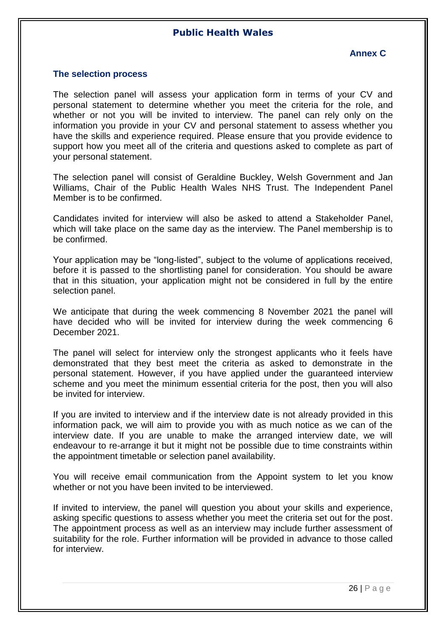### **Annex C**

#### <span id="page-25-1"></span><span id="page-25-0"></span>**The selection process**

The selection panel will assess your application form in terms of your CV and personal statement to determine whether you meet the criteria for the role, and whether or not you will be invited to interview. The panel can rely only on the information you provide in your CV and personal statement to assess whether you have the skills and experience required. Please ensure that you provide evidence to support how you meet all of the criteria and questions asked to complete as part of your personal statement.

The selection panel will consist of Geraldine Buckley, Welsh Government and Jan Williams, Chair of the Public Health Wales NHS Trust. The Independent Panel Member is to be confirmed.

Candidates invited for interview will also be asked to attend a Stakeholder Panel, which will take place on the same day as the interview. The Panel membership is to be confirmed.

Your application may be "long-listed", subject to the volume of applications received, before it is passed to the shortlisting panel for consideration. You should be aware that in this situation, your application might not be considered in full by the entire selection panel.

We anticipate that during the week commencing 8 November 2021 the panel will have decided who will be invited for interview during the week commencing 6 December 2021.

The panel will select for interview only the strongest applicants who it feels have demonstrated that they best meet the criteria as asked to demonstrate in the personal statement. However, if you have applied under the guaranteed interview scheme and you meet the minimum essential criteria for the post, then you will also be invited for interview.

If you are invited to interview and if the interview date is not already provided in this information pack, we will aim to provide you with as much notice as we can of the interview date. If you are unable to make the arranged interview date, we will endeavour to re-arrange it but it might not be possible due to time constraints within the appointment timetable or selection panel availability.

You will receive email communication from the Appoint system to let you know whether or not you have been invited to be interviewed.

If invited to interview, the panel will question you about your skills and experience, asking specific questions to assess whether you meet the criteria set out for the post. The appointment process as well as an interview may include further assessment of suitability for the role. Further information will be provided in advance to those called for interview.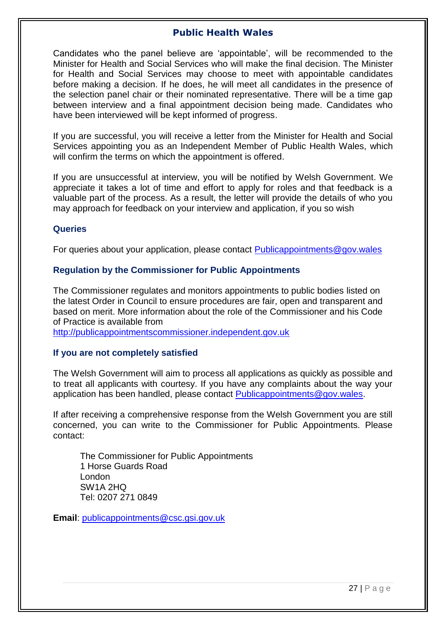Candidates who the panel believe are 'appointable', will be recommended to the Minister for Health and Social Services who will make the final decision. The Minister for Health and Social Services may choose to meet with appointable candidates before making a decision. If he does, he will meet all candidates in the presence of the selection panel chair or their nominated representative. There will be a time gap between interview and a final appointment decision being made. Candidates who have been interviewed will be kept informed of progress.

If you are successful, you will receive a letter from the Minister for Health and Social Services appointing you as an Independent Member of Public Health Wales, which will confirm the terms on which the appointment is offered.

If you are unsuccessful at interview, you will be notified by Welsh Government. We appreciate it takes a lot of time and effort to apply for roles and that feedback is a valuable part of the process. As a result, the letter will provide the details of who you may approach for feedback on your interview and application, if you so wish

#### **Queries**

For queries about your application, please contact [Publicappointments@gov.wales](mailto:Publicappointments@gov.wales)

#### **Regulation by the Commissioner for Public Appointments**

The Commissioner regulates and monitors appointments to public bodies listed on the latest Order in Council to ensure procedures are fair, open and transparent and based on merit. More information about the role of the Commissioner and his Code of Practice is available from

[http://publicappointmentscommissioner.independent.gov.uk](http://publicappointmentscommissioner.independent.gov.uk/)

#### **If you are not completely satisfied**

The Welsh Government will aim to process all applications as quickly as possible and to treat all applicants with courtesy. If you have any complaints about the way your application has been handled, please contact [Publicappointments@gov.wales.](mailto:Publicappointments@gov.wales)

If after receiving a comprehensive response from the Welsh Government you are still concerned, you can write to the Commissioner for Public Appointments. Please contact:

The Commissioner for Public Appointments 1 Horse Guards Road London SW1A 2HQ Tel: 0207 271 0849

**Email**: [publicappointments@csc.gsi.gov.uk](mailto:publicappointments@csc.gsi.gov.uk)